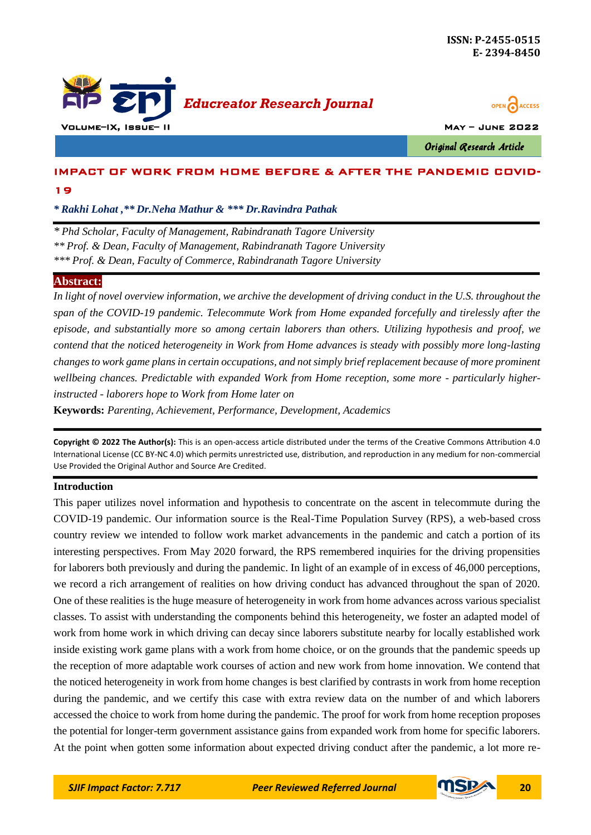



Original Research Article

# IMPACT OF WORK FROM HOME BEFORE & AFTER THE PANDEMIC COVID-19

*\* Rakhi Lohat ,\*\* Dr.Neha Mathur & \*\*\* Dr.Ravindra Pathak*

*\* Phd Scholar, Faculty of Management, Rabindranath Tagore University \*\* Prof. & Dean, Faculty of Management, Rabindranath Tagore University \*\*\* Prof. & Dean, Faculty of Commerce, Rabindranath Tagore University*

# **Abstract:**

In light of novel overview information, we archive the development of driving conduct in the U.S. throughout the *span of the COVID-19 pandemic. Telecommute Work from Home expanded forcefully and tirelessly after the episode, and substantially more so among certain laborers than others. Utilizing hypothesis and proof, we contend that the noticed heterogeneity in Work from Home advances is steady with possibly more long-lasting changes to work game plans in certain occupations, and not simply brief replacement because of more prominent wellbeing chances. Predictable with expanded Work from Home reception, some more - particularly higherinstructed - laborers hope to Work from Home later on*

**Keywords:** *Parenting, Achievement, Performance, Development, Academics*

**Copyright © 2022 The Author(s):** This is an open-access article distributed under the terms of the Creative Commons Attribution 4.0 International License (CC BY-NC 4.0) which permits unrestricted use, distribution, and reproduction in any medium for non-commercial Use Provided the Original Author and Source Are Credited.

## **Introduction**

This paper utilizes novel information and hypothesis to concentrate on the ascent in telecommute during the COVID-19 pandemic. Our information source is the Real-Time Population Survey (RPS), a web-based cross country review we intended to follow work market advancements in the pandemic and catch a portion of its interesting perspectives. From May 2020 forward, the RPS remembered inquiries for the driving propensities for laborers both previously and during the pandemic. In light of an example of in excess of 46,000 perceptions, we record a rich arrangement of realities on how driving conduct has advanced throughout the span of 2020. One of these realities is the huge measure of heterogeneity in work from home advances across various specialist classes. To assist with understanding the components behind this heterogeneity, we foster an adapted model of work from home work in which driving can decay since laborers substitute nearby for locally established work inside existing work game plans with a work from home choice, or on the grounds that the pandemic speeds up the reception of more adaptable work courses of action and new work from home innovation. We contend that the noticed heterogeneity in work from home changes is best clarified by contrasts in work from home reception during the pandemic, and we certify this case with extra review data on the number of and which laborers accessed the choice to work from home during the pandemic. The proof for work from home reception proposes the potential for longer-term government assistance gains from expanded work from home for specific laborers. At the point when gotten some information about expected driving conduct after the pandemic, a lot more re-

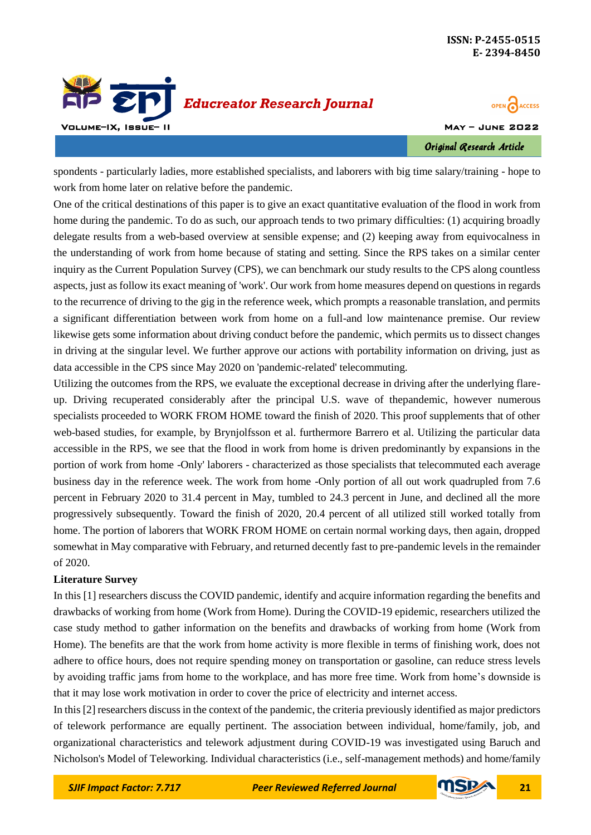



Original Research Article

spondents - particularly ladies, more established specialists, and laborers with big time salary/training - hope to work from home later on relative before the pandemic.

One of the critical destinations of this paper is to give an exact quantitative evaluation of the flood in work from home during the pandemic. To do as such, our approach tends to two primary difficulties: (1) acquiring broadly delegate results from a web-based overview at sensible expense; and (2) keeping away from equivocalness in the understanding of work from home because of stating and setting. Since the RPS takes on a similar center inquiry as the Current Population Survey (CPS), we can benchmark our study results to the CPS along countless aspects, just as follow its exact meaning of 'work'. Our work from home measures depend on questions in regards to the recurrence of driving to the gig in the reference week, which prompts a reasonable translation, and permits a significant differentiation between work from home on a full-and low maintenance premise. Our review likewise gets some information about driving conduct before the pandemic, which permits us to dissect changes in driving at the singular level. We further approve our actions with portability information on driving, just as data accessible in the CPS since May 2020 on 'pandemic-related' telecommuting.

Utilizing the outcomes from the RPS, we evaluate the exceptional decrease in driving after the underlying flareup. Driving recuperated considerably after the principal U.S. wave of thepandemic, however numerous specialists proceeded to WORK FROM HOME toward the finish of 2020. This proof supplements that of other web-based studies, for example, by Brynjolfsson et al. furthermore Barrero et al. Utilizing the particular data accessible in the RPS, we see that the flood in work from home is driven predominantly by expansions in the portion of work from home -Only' laborers - characterized as those specialists that telecommuted each average business day in the reference week. The work from home -Only portion of all out work quadrupled from 7.6 percent in February 2020 to 31.4 percent in May, tumbled to 24.3 percent in June, and declined all the more progressively subsequently. Toward the finish of 2020, 20.4 percent of all utilized still worked totally from home. The portion of laborers that WORK FROM HOME on certain normal working days, then again, dropped somewhat in May comparative with February, and returned decently fast to pre-pandemic levels in the remainder of 2020.

## **Literature Survey**

In this [1] researchers discuss the COVID pandemic, identify and acquire information regarding the benefits and drawbacks of working from home (Work from Home). During the COVID-19 epidemic, researchers utilized the case study method to gather information on the benefits and drawbacks of working from home (Work from Home). The benefits are that the work from home activity is more flexible in terms of finishing work, does not adhere to office hours, does not require spending money on transportation or gasoline, can reduce stress levels by avoiding traffic jams from home to the workplace, and has more free time. Work from home's downside is that it may lose work motivation in order to cover the price of electricity and internet access.

In this [2] researchers discuss in the context of the pandemic, the criteria previously identified as major predictors of telework performance are equally pertinent. The association between individual, home/family, job, and organizational characteristics and telework adjustment during COVID-19 was investigated using Baruch and Nicholson's Model of Teleworking. Individual characteristics (i.e., self-management methods) and home/family



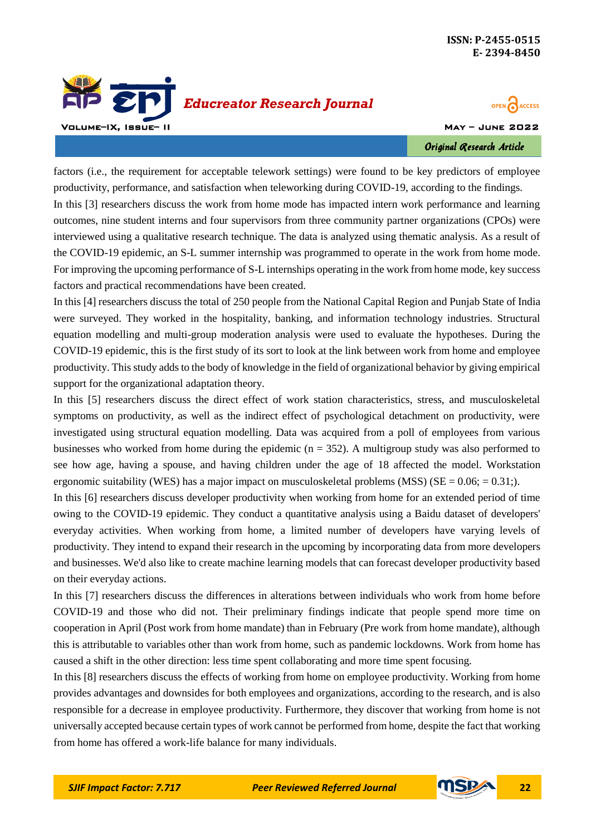



Original Research Article

factors (i.e., the requirement for acceptable telework settings) were found to be key predictors of employee productivity, performance, and satisfaction when teleworking during COVID-19, according to the findings. In this [3] researchers discuss the work from home mode has impacted intern work performance and learning outcomes, nine student interns and four supervisors from three community partner organizations (CPOs) were interviewed using a qualitative research technique. The data is analyzed using thematic analysis. As a result of the COVID-19 epidemic, an S-L summer internship was programmed to operate in the work from home mode. For improving the upcoming performance of S-L internships operating in the work from home mode, key success factors and practical recommendations have been created.

In this [4] researchers discuss the total of 250 people from the National Capital Region and Punjab State of India were surveyed. They worked in the hospitality, banking, and information technology industries. Structural equation modelling and multi-group moderation analysis were used to evaluate the hypotheses. During the COVID-19 epidemic, this is the first study of its sort to look at the link between work from home and employee productivity. This study adds to the body of knowledge in the field of organizational behavior by giving empirical support for the organizational adaptation theory.

In this [5] researchers discuss the direct effect of work station characteristics, stress, and musculoskeletal symptoms on productivity, as well as the indirect effect of psychological detachment on productivity, were investigated using structural equation modelling. Data was acquired from a poll of employees from various businesses who worked from home during the epidemic  $(n = 352)$ . A multigroup study was also performed to see how age, having a spouse, and having children under the age of 18 affected the model. Workstation ergonomic suitability (WES) has a major impact on musculoskeletal problems (MSS) (SE =  $0.06$ ; =  $0.31$ ;).

In this [6] researchers discuss developer productivity when working from home for an extended period of time owing to the COVID-19 epidemic. They conduct a quantitative analysis using a Baidu dataset of developers' everyday activities. When working from home, a limited number of developers have varying levels of productivity. They intend to expand their research in the upcoming by incorporating data from more developers and businesses. We'd also like to create machine learning models that can forecast developer productivity based on their everyday actions.

In this [7] researchers discuss the differences in alterations between individuals who work from home before COVID-19 and those who did not. Their preliminary findings indicate that people spend more time on cooperation in April (Post work from home mandate) than in February (Pre work from home mandate), although this is attributable to variables other than work from home, such as pandemic lockdowns. Work from home has caused a shift in the other direction: less time spent collaborating and more time spent focusing.

In this [8] researchers discuss the effects of working from home on employee productivity. Working from home provides advantages and downsides for both employees and organizations, according to the research, and is also responsible for a decrease in employee productivity. Furthermore, they discover that working from home is not universally accepted because certain types of work cannot be performed from home, despite the fact that working from home has offered a work-life balance for many individuals.

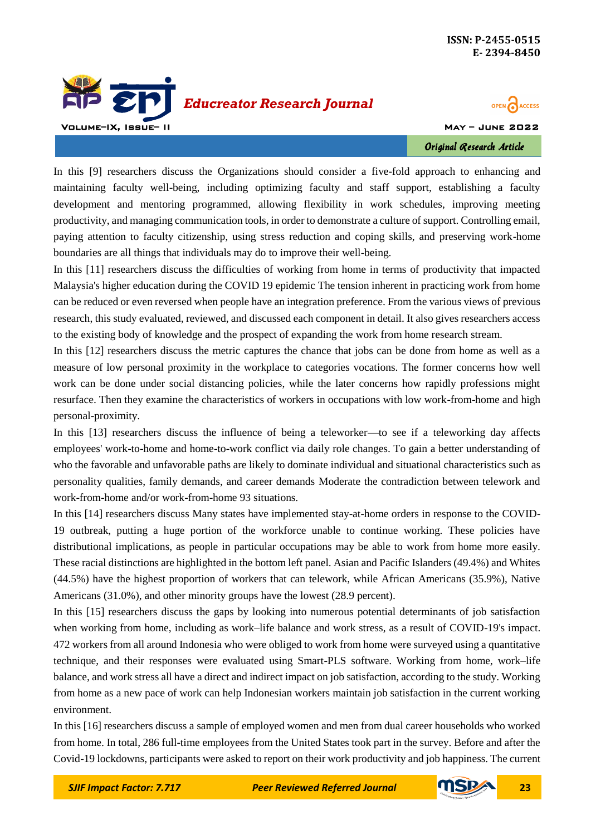

**OPEN CACCESS** 

Original Research Article

In this [9] researchers discuss the Organizations should consider a five-fold approach to enhancing and maintaining faculty well-being, including optimizing faculty and staff support, establishing a faculty development and mentoring programmed, allowing flexibility in work schedules, improving meeting productivity, and managing communication tools, in order to demonstrate a culture of support. Controlling email, paying attention to faculty citizenship, using stress reduction and coping skills, and preserving work-home boundaries are all things that individuals may do to improve their well-being.

In this [11] researchers discuss the difficulties of working from home in terms of productivity that impacted Malaysia's higher education during the COVID 19 epidemic The tension inherent in practicing work from home can be reduced or even reversed when people have an integration preference. From the various views of previous research, this study evaluated, reviewed, and discussed each component in detail. It also gives researchers access to the existing body of knowledge and the prospect of expanding the work from home research stream.

In this [12] researchers discuss the metric captures the chance that jobs can be done from home as well as a measure of low personal proximity in the workplace to categories vocations. The former concerns how well work can be done under social distancing policies, while the later concerns how rapidly professions might resurface. Then they examine the characteristics of workers in occupations with low work-from-home and high personal-proximity.

In this [13] researchers discuss the influence of being a teleworker—to see if a teleworking day affects employees' work-to-home and home-to-work conflict via daily role changes. To gain a better understanding of who the favorable and unfavorable paths are likely to dominate individual and situational characteristics such as personality qualities, family demands, and career demands Moderate the contradiction between telework and work-from-home and/or work-from-home 93 situations.

In this [14] researchers discuss Many states have implemented stay-at-home orders in response to the COVID-19 outbreak, putting a huge portion of the workforce unable to continue working. These policies have distributional implications, as people in particular occupations may be able to work from home more easily. These racial distinctions are highlighted in the bottom left panel. Asian and Pacific Islanders (49.4%) and Whites (44.5%) have the highest proportion of workers that can telework, while African Americans (35.9%), Native Americans (31.0%), and other minority groups have the lowest (28.9 percent).

In this [15] researchers discuss the gaps by looking into numerous potential determinants of job satisfaction when working from home, including as work–life balance and work stress, as a result of COVID-19's impact. 472 workers from all around Indonesia who were obliged to work from home were surveyed using a quantitative technique, and their responses were evaluated using Smart-PLS software. Working from home, work–life balance, and work stress all have a direct and indirect impact on job satisfaction, according to the study. Working from home as a new pace of work can help Indonesian workers maintain job satisfaction in the current working environment.

In this [16] researchers discuss a sample of employed women and men from dual career households who worked from home. In total, 286 full-time employees from the United States took part in the survey. Before and after the Covid-19 lockdowns, participants were asked to report on their work productivity and job happiness. The current

*SJIF Impact Factor: 7.717 Peer Reviewed Referred Journal* **23**

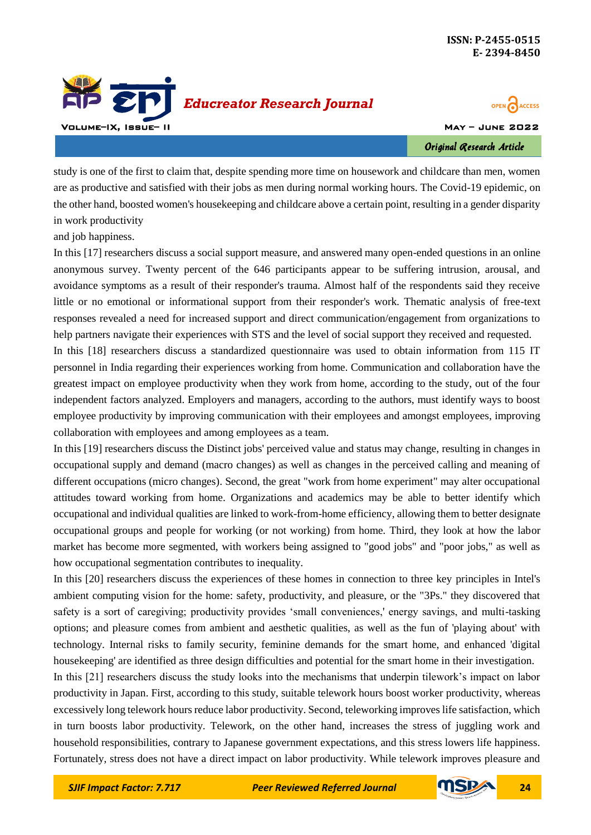



Original Research Article

study is one of the first to claim that, despite spending more time on housework and childcare than men, women are as productive and satisfied with their jobs as men during normal working hours. The Covid-19 epidemic, on the other hand, boosted women's housekeeping and childcare above a certain point, resulting in a gender disparity in work productivity

and job happiness.

In this [17] researchers discuss a social support measure, and answered many open-ended questions in an online anonymous survey. Twenty percent of the 646 participants appear to be suffering intrusion, arousal, and avoidance symptoms as a result of their responder's trauma. Almost half of the respondents said they receive little or no emotional or informational support from their responder's work. Thematic analysis of free-text responses revealed a need for increased support and direct communication/engagement from organizations to help partners navigate their experiences with STS and the level of social support they received and requested.

In this [18] researchers discuss a standardized questionnaire was used to obtain information from 115 IT personnel in India regarding their experiences working from home. Communication and collaboration have the greatest impact on employee productivity when they work from home, according to the study, out of the four independent factors analyzed. Employers and managers, according to the authors, must identify ways to boost employee productivity by improving communication with their employees and amongst employees, improving collaboration with employees and among employees as a team.

In this [19] researchers discuss the Distinct jobs' perceived value and status may change, resulting in changes in occupational supply and demand (macro changes) as well as changes in the perceived calling and meaning of different occupations (micro changes). Second, the great "work from home experiment" may alter occupational attitudes toward working from home. Organizations and academics may be able to better identify which occupational and individual qualities are linked to work-from-home efficiency, allowing them to better designate occupational groups and people for working (or not working) from home. Third, they look at how the labor market has become more segmented, with workers being assigned to "good jobs" and "poor jobs," as well as how occupational segmentation contributes to inequality.

In this [20] researchers discuss the experiences of these homes in connection to three key principles in Intel's ambient computing vision for the home: safety, productivity, and pleasure, or the "3Ps." they discovered that safety is a sort of caregiving; productivity provides 'small conveniences,' energy savings, and multi-tasking options; and pleasure comes from ambient and aesthetic qualities, as well as the fun of 'playing about' with technology. Internal risks to family security, feminine demands for the smart home, and enhanced 'digital housekeeping' are identified as three design difficulties and potential for the smart home in their investigation.

In this [21] researchers discuss the study looks into the mechanisms that underpin tilework's impact on labor productivity in Japan. First, according to this study, suitable telework hours boost worker productivity, whereas excessively long telework hours reduce labor productivity. Second, teleworking improves life satisfaction, which in turn boosts labor productivity. Telework, on the other hand, increases the stress of juggling work and household responsibilities, contrary to Japanese government expectations, and this stress lowers life happiness. Fortunately, stress does not have a direct impact on labor productivity. While telework improves pleasure and

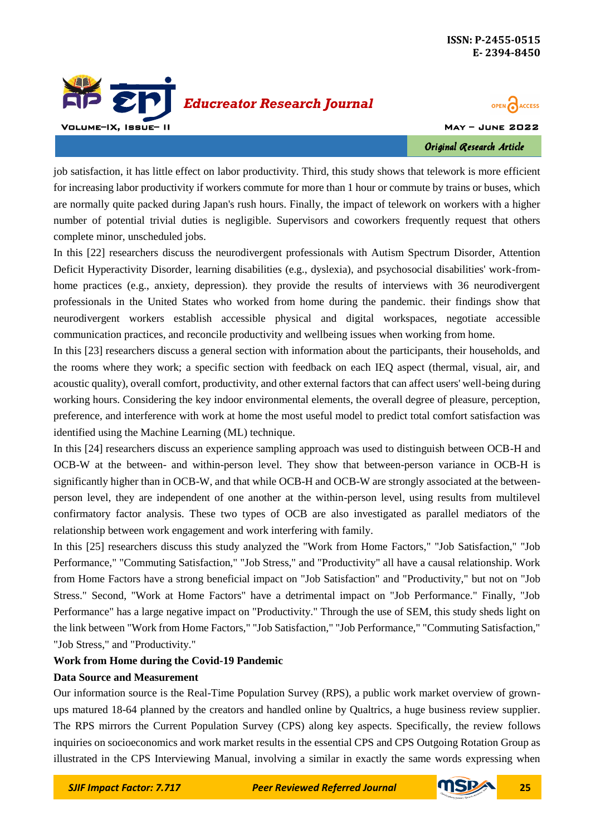



Original Research Article

job satisfaction, it has little effect on labor productivity. Third, this study shows that telework is more efficient for increasing labor productivity if workers commute for more than 1 hour or commute by trains or buses, which are normally quite packed during Japan's rush hours. Finally, the impact of telework on workers with a higher number of potential trivial duties is negligible. Supervisors and coworkers frequently request that others complete minor, unscheduled jobs.

In this [22] researchers discuss the neurodivergent professionals with Autism Spectrum Disorder, Attention Deficit Hyperactivity Disorder, learning disabilities (e.g., dyslexia), and psychosocial disabilities' work-fromhome practices (e.g., anxiety, depression). they provide the results of interviews with 36 neurodivergent professionals in the United States who worked from home during the pandemic. their findings show that neurodivergent workers establish accessible physical and digital workspaces, negotiate accessible communication practices, and reconcile productivity and wellbeing issues when working from home.

In this [23] researchers discuss a general section with information about the participants, their households, and the rooms where they work; a specific section with feedback on each IEQ aspect (thermal, visual, air, and acoustic quality), overall comfort, productivity, and other external factors that can affect users' well-being during working hours. Considering the key indoor environmental elements, the overall degree of pleasure, perception, preference, and interference with work at home the most useful model to predict total comfort satisfaction was identified using the Machine Learning (ML) technique.

In this [24] researchers discuss an experience sampling approach was used to distinguish between OCB-H and OCB-W at the between- and within-person level. They show that between-person variance in OCB-H is significantly higher than in OCB-W, and that while OCB-H and OCB-W are strongly associated at the betweenperson level, they are independent of one another at the within-person level, using results from multilevel confirmatory factor analysis. These two types of OCB are also investigated as parallel mediators of the relationship between work engagement and work interfering with family.

In this [25] researchers discuss this study analyzed the "Work from Home Factors," "Job Satisfaction," "Job Performance," "Commuting Satisfaction," "Job Stress," and "Productivity" all have a causal relationship. Work from Home Factors have a strong beneficial impact on "Job Satisfaction" and "Productivity," but not on "Job Stress." Second, "Work at Home Factors" have a detrimental impact on "Job Performance." Finally, "Job Performance" has a large negative impact on "Productivity." Through the use of SEM, this study sheds light on the link between "Work from Home Factors," "Job Satisfaction," "Job Performance," "Commuting Satisfaction," "Job Stress," and "Productivity."

## **Work from Home during the Covid-19 Pandemic**

## **Data Source and Measurement**

Our information source is the Real-Time Population Survey (RPS), a public work market overview of grownups matured 18-64 planned by the creators and handled online by Qualtrics, a huge business review supplier. The RPS mirrors the Current Population Survey (CPS) along key aspects. Specifically, the review follows inquiries on socioeconomics and work market results in the essential CPS and CPS Outgoing Rotation Group as illustrated in the CPS Interviewing Manual, involving a similar in exactly the same words expressing when



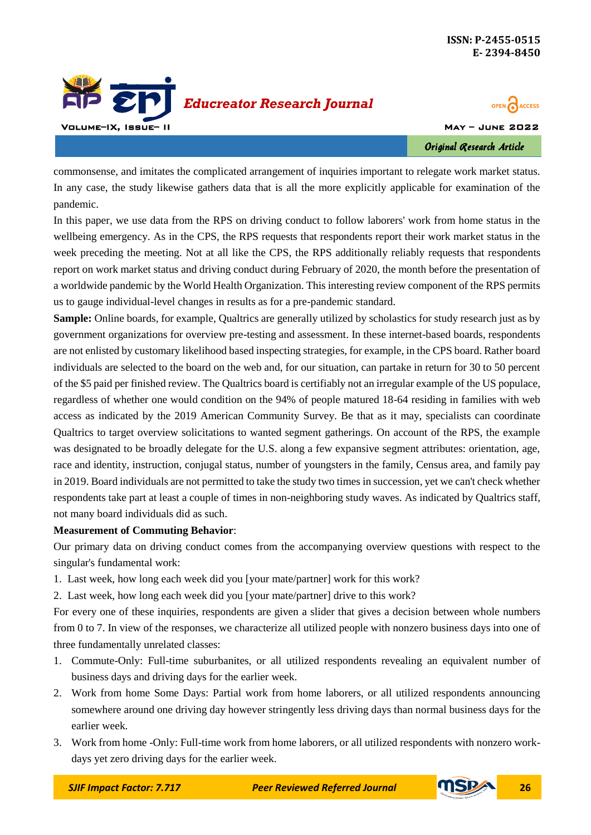



Original Research Article

commonsense, and imitates the complicated arrangement of inquiries important to relegate work market status. In any case, the study likewise gathers data that is all the more explicitly applicable for examination of the pandemic.

In this paper, we use data from the RPS on driving conduct to follow laborers' work from home status in the wellbeing emergency. As in the CPS, the RPS requests that respondents report their work market status in the week preceding the meeting. Not at all like the CPS, the RPS additionally reliably requests that respondents report on work market status and driving conduct during February of 2020, the month before the presentation of a worldwide pandemic by the World Health Organization. This interesting review component of the RPS permits us to gauge individual-level changes in results as for a pre-pandemic standard.

**Sample:** Online boards, for example, Qualtrics are generally utilized by scholastics for study research just as by government organizations for overview pre-testing and assessment. In these internet-based boards, respondents are not enlisted by customary likelihood based inspecting strategies, for example, in the CPS board. Rather board individuals are selected to the board on the web and, for our situation, can partake in return for 30 to 50 percent of the \$5 paid per finished review. The Qualtrics board is certifiably not an irregular example of the US populace, regardless of whether one would condition on the 94% of people matured 18-64 residing in families with web access as indicated by the 2019 American Community Survey. Be that as it may, specialists can coordinate Qualtrics to target overview solicitations to wanted segment gatherings. On account of the RPS, the example was designated to be broadly delegate for the U.S. along a few expansive segment attributes: orientation, age, race and identity, instruction, conjugal status, number of youngsters in the family, Census area, and family pay in 2019. Board individuals are not permitted to take the study two times in succession, yet we can't check whether respondents take part at least a couple of times in non-neighboring study waves. As indicated by Qualtrics staff, not many board individuals did as such.

## **Measurement of Commuting Behavior**:

Our primary data on driving conduct comes from the accompanying overview questions with respect to the singular's fundamental work:

- 1. Last week, how long each week did you [your mate/partner] work for this work?
- 2. Last week, how long each week did you [your mate/partner] drive to this work?

For every one of these inquiries, respondents are given a slider that gives a decision between whole numbers from 0 to 7. In view of the responses, we characterize all utilized people with nonzero business days into one of three fundamentally unrelated classes:

- 1. Commute-Only: Full-time suburbanites, or all utilized respondents revealing an equivalent number of business days and driving days for the earlier week.
- 2. Work from home Some Days: Partial work from home laborers, or all utilized respondents announcing somewhere around one driving day however stringently less driving days than normal business days for the earlier week.
- 3. Work from home -Only: Full-time work from home laborers, or all utilized respondents with nonzero workdays yet zero driving days for the earlier week.

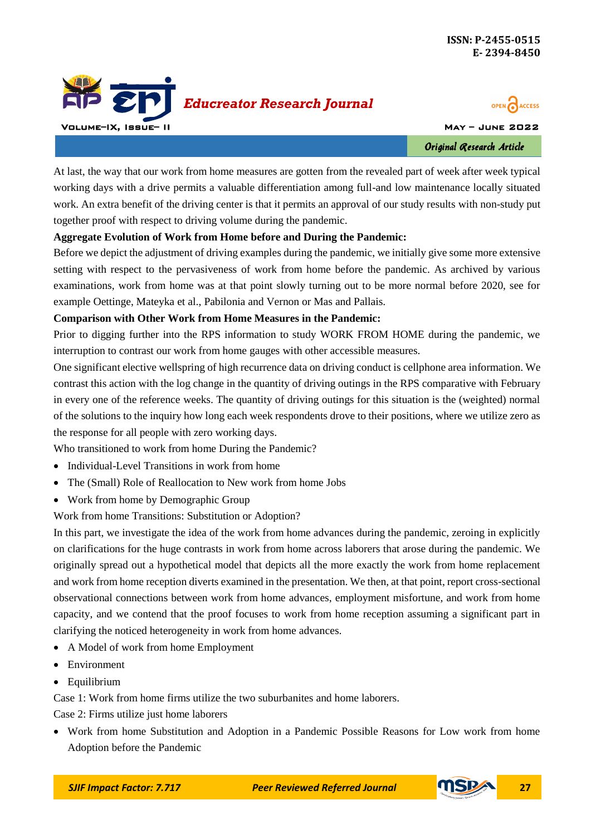



Original Research Article

At last, the way that our work from home measures are gotten from the revealed part of week after week typical working days with a drive permits a valuable differentiation among full-and low maintenance locally situated work. An extra benefit of the driving center is that it permits an approval of our study results with non-study put together proof with respect to driving volume during the pandemic.

#### **Aggregate Evolution of Work from Home before and During the Pandemic:**

Before we depict the adjustment of driving examples during the pandemic, we initially give some more extensive setting with respect to the pervasiveness of work from home before the pandemic. As archived by various examinations, work from home was at that point slowly turning out to be more normal before 2020, see for example Oettinge, Mateyka et al., Pabilonia and Vernon or Mas and Pallais.

#### **Comparison with Other Work from Home Measures in the Pandemic:**

Prior to digging further into the RPS information to study WORK FROM HOME during the pandemic, we interruption to contrast our work from home gauges with other accessible measures.

One significant elective wellspring of high recurrence data on driving conduct is cellphone area information. We contrast this action with the log change in the quantity of driving outings in the RPS comparative with February in every one of the reference weeks. The quantity of driving outings for this situation is the (weighted) normal of the solutions to the inquiry how long each week respondents drove to their positions, where we utilize zero as the response for all people with zero working days.

Who transitioned to work from home During the Pandemic?

- Individual-Level Transitions in work from home
- The (Small) Role of Reallocation to New work from home Jobs
- Work from home by Demographic Group

Work from home Transitions: Substitution or Adoption?

In this part, we investigate the idea of the work from home advances during the pandemic, zeroing in explicitly on clarifications for the huge contrasts in work from home across laborers that arose during the pandemic. We originally spread out a hypothetical model that depicts all the more exactly the work from home replacement and work from home reception diverts examined in the presentation. We then, at that point, report cross-sectional observational connections between work from home advances, employment misfortune, and work from home capacity, and we contend that the proof focuses to work from home reception assuming a significant part in clarifying the noticed heterogeneity in work from home advances.

- A Model of work from home Employment
- Environment
- Equilibrium

Case 1: Work from home firms utilize the two suburbanites and home laborers.

Case 2: Firms utilize just home laborers

 Work from home Substitution and Adoption in a Pandemic Possible Reasons for Low work from home Adoption before the Pandemic

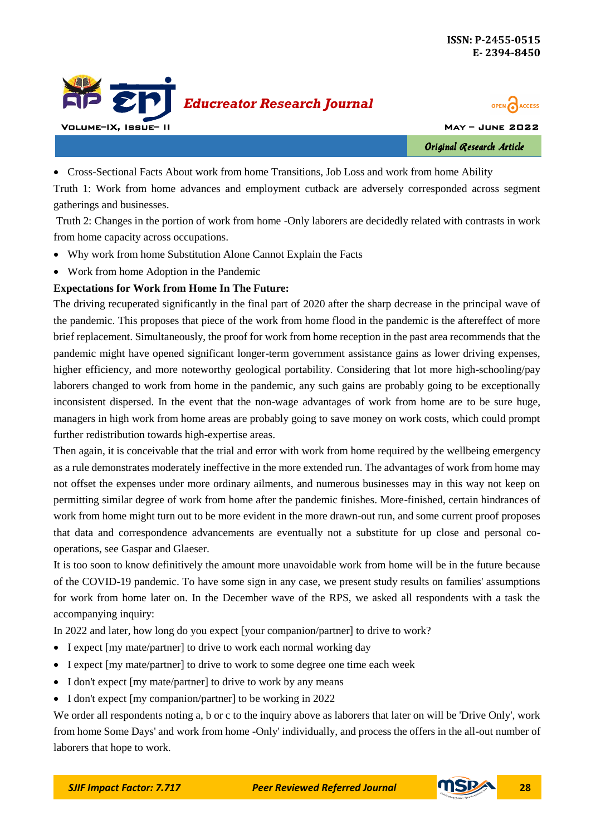



Original Research Article

Cross-Sectional Facts About work from home Transitions, Job Loss and work from home Ability

Truth 1: Work from home advances and employment cutback are adversely corresponded across segment gatherings and businesses.

Truth 2: Changes in the portion of work from home -Only laborers are decidedly related with contrasts in work from home capacity across occupations.

- Why work from home Substitution Alone Cannot Explain the Facts
- Work from home Adoption in the Pandemic

## **Expectations for Work from Home In The Future:**

The driving recuperated significantly in the final part of 2020 after the sharp decrease in the principal wave of the pandemic. This proposes that piece of the work from home flood in the pandemic is the aftereffect of more brief replacement. Simultaneously, the proof for work from home reception in the past area recommends that the pandemic might have opened significant longer-term government assistance gains as lower driving expenses, higher efficiency, and more noteworthy geological portability. Considering that lot more high-schooling/pay laborers changed to work from home in the pandemic, any such gains are probably going to be exceptionally inconsistent dispersed. In the event that the non-wage advantages of work from home are to be sure huge, managers in high work from home areas are probably going to save money on work costs, which could prompt further redistribution towards high-expertise areas.

Then again, it is conceivable that the trial and error with work from home required by the wellbeing emergency as a rule demonstrates moderately ineffective in the more extended run. The advantages of work from home may not offset the expenses under more ordinary ailments, and numerous businesses may in this way not keep on permitting similar degree of work from home after the pandemic finishes. More-finished, certain hindrances of work from home might turn out to be more evident in the more drawn-out run, and some current proof proposes that data and correspondence advancements are eventually not a substitute for up close and personal cooperations, see Gaspar and Glaeser.

It is too soon to know definitively the amount more unavoidable work from home will be in the future because of the COVID-19 pandemic. To have some sign in any case, we present study results on families' assumptions for work from home later on. In the December wave of the RPS, we asked all respondents with a task the accompanying inquiry:

In 2022 and later, how long do you expect [your companion/partner] to drive to work?

- I expect [my mate/partner] to drive to work each normal working day
- I expect [my mate/partner] to drive to work to some degree one time each week
- I don't expect [my mate/partner] to drive to work by any means
- I don't expect [my companion/partner] to be working in 2022

We order all respondents noting a, b or c to the inquiry above as laborers that later on will be 'Drive Only', work from home Some Days' and work from home -Only' individually, and process the offers in the all-out number of laborers that hope to work.

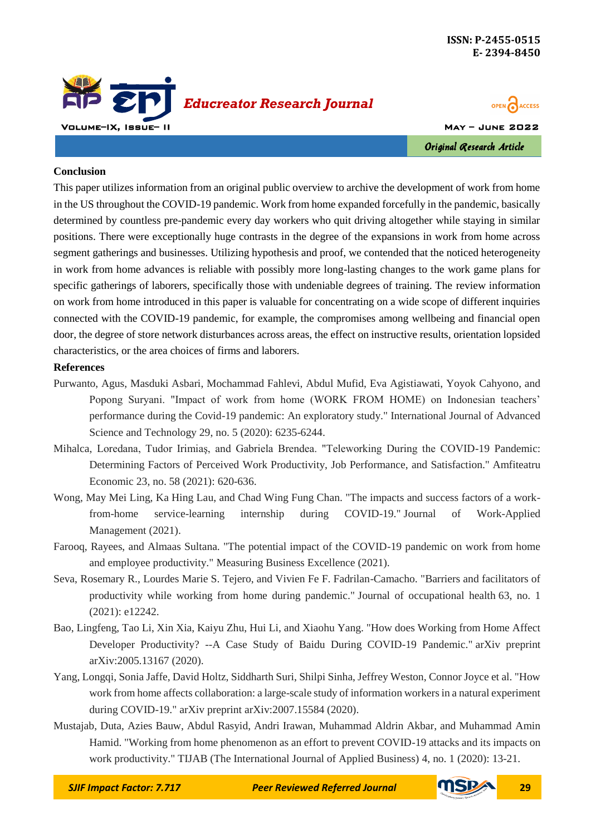



#### **Conclusion**

This paper utilizes information from an original public overview to archive the development of work from home in the US throughout the COVID-19 pandemic. Work from home expanded forcefully in the pandemic, basically determined by countless pre-pandemic every day workers who quit driving altogether while staying in similar positions. There were exceptionally huge contrasts in the degree of the expansions in work from home across segment gatherings and businesses. Utilizing hypothesis and proof, we contended that the noticed heterogeneity in work from home advances is reliable with possibly more long-lasting changes to the work game plans for specific gatherings of laborers, specifically those with undeniable degrees of training. The review information on work from home introduced in this paper is valuable for concentrating on a wide scope of different inquiries connected with the COVID-19 pandemic, for example, the compromises among wellbeing and financial open door, the degree of store network disturbances across areas, the effect on instructive results, orientation lopsided characteristics, or the area choices of firms and laborers.

#### **References**

- Purwanto, Agus, Masduki Asbari, Mochammad Fahlevi, Abdul Mufid, Eva Agistiawati, Yoyok Cahyono, and Popong Suryani. "Impact of work from home (WORK FROM HOME) on Indonesian teachers' performance during the Covid-19 pandemic: An exploratory study." International Journal of Advanced Science and Technology 29, no. 5 (2020): 6235-6244.
- Mihalca, Loredana, Tudor Irimiaş, and Gabriela Brendea. "Teleworking During the COVID-19 Pandemic: Determining Factors of Perceived Work Productivity, Job Performance, and Satisfaction." Amfiteatru Economic 23, no. 58 (2021): 620-636.
- Wong, May Mei Ling, Ka Hing Lau, and Chad Wing Fung Chan. "The impacts and success factors of a workfrom-home service-learning internship during COVID-19." Journal of Work-Applied Management (2021).
- Farooq, Rayees, and Almaas Sultana. "The potential impact of the COVID-19 pandemic on work from home and employee productivity." Measuring Business Excellence (2021).
- Seva, Rosemary R., Lourdes Marie S. Tejero, and Vivien Fe F. Fadrilan-Camacho. "Barriers and facilitators of productivity while working from home during pandemic." Journal of occupational health 63, no. 1 (2021): e12242.
- Bao, Lingfeng, Tao Li, Xin Xia, Kaiyu Zhu, Hui Li, and Xiaohu Yang. "How does Working from Home Affect Developer Productivity? --A Case Study of Baidu During COVID-19 Pandemic." arXiv preprint arXiv:2005.13167 (2020).
- Yang, Longqi, Sonia Jaffe, David Holtz, Siddharth Suri, Shilpi Sinha, Jeffrey Weston, Connor Joyce et al. "How work from home affects collaboration: a large-scale study of information workers in a natural experiment during COVID-19." arXiv preprint arXiv:2007.15584 (2020).
- Mustajab, Duta, Azies Bauw, Abdul Rasyid, Andri Irawan, Muhammad Aldrin Akbar, and Muhammad Amin Hamid. "Working from home phenomenon as an effort to prevent COVID-19 attacks and its impacts on work productivity." TIJAB (The International Journal of Applied Business) 4, no. 1 (2020): 13-21.

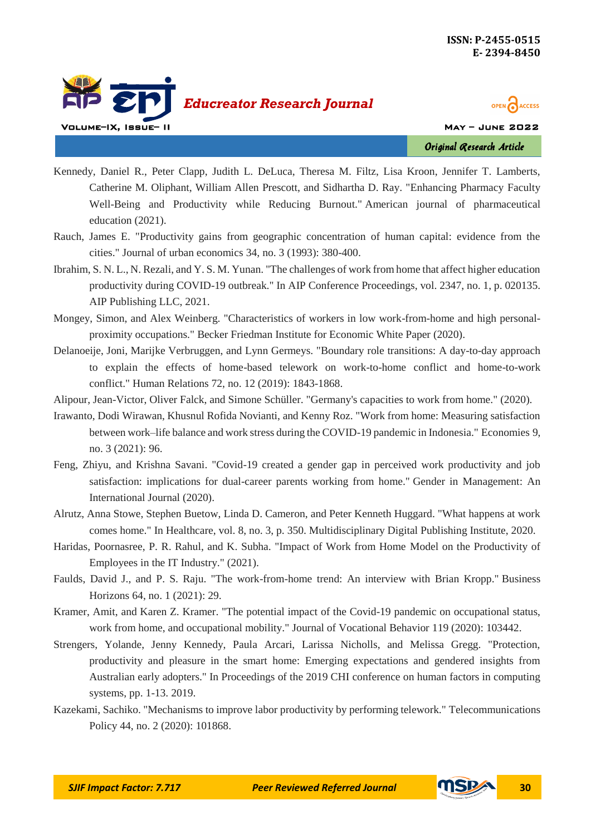



Original Research Article

- Kennedy, Daniel R., Peter Clapp, Judith L. DeLuca, Theresa M. Filtz, Lisa Kroon, Jennifer T. Lamberts, Catherine M. Oliphant, William Allen Prescott, and Sidhartha D. Ray. "Enhancing Pharmacy Faculty Well-Being and Productivity while Reducing Burnout." American journal of pharmaceutical education (2021).
- Rauch, James E. "Productivity gains from geographic concentration of human capital: evidence from the cities." Journal of urban economics 34, no. 3 (1993): 380-400.
- Ibrahim, S. N. L., N. Rezali, and Y. S. M. Yunan. "The challenges of work from home that affect higher education productivity during COVID-19 outbreak." In AIP Conference Proceedings, vol. 2347, no. 1, p. 020135. AIP Publishing LLC, 2021.
- Mongey, Simon, and Alex Weinberg. "Characteristics of workers in low work-from-home and high personalproximity occupations." Becker Friedman Institute for Economic White Paper (2020).
- Delanoeije, Joni, Marijke Verbruggen, and Lynn Germeys. "Boundary role transitions: A day-to-day approach to explain the effects of home-based telework on work-to-home conflict and home-to-work conflict." Human Relations 72, no. 12 (2019): 1843-1868.
- Alipour, Jean-Victor, Oliver Falck, and Simone Schüller. "Germany's capacities to work from home." (2020).
- Irawanto, Dodi Wirawan, Khusnul Rofida Novianti, and Kenny Roz. "Work from home: Measuring satisfaction between work–life balance and work stress during the COVID-19 pandemic in Indonesia." Economies 9, no. 3 (2021): 96.
- Feng, Zhiyu, and Krishna Savani. "Covid-19 created a gender gap in perceived work productivity and job satisfaction: implications for dual-career parents working from home." Gender in Management: An International Journal (2020).
- Alrutz, Anna Stowe, Stephen Buetow, Linda D. Cameron, and Peter Kenneth Huggard. "What happens at work comes home." In Healthcare, vol. 8, no. 3, p. 350. Multidisciplinary Digital Publishing Institute, 2020.
- Haridas, Poornasree, P. R. Rahul, and K. Subha. "Impact of Work from Home Model on the Productivity of Employees in the IT Industry." (2021).
- Faulds, David J., and P. S. Raju. "The work-from-home trend: An interview with Brian Kropp." Business Horizons 64, no. 1 (2021): 29.
- Kramer, Amit, and Karen Z. Kramer. "The potential impact of the Covid-19 pandemic on occupational status, work from home, and occupational mobility." Journal of Vocational Behavior 119 (2020): 103442.
- Strengers, Yolande, Jenny Kennedy, Paula Arcari, Larissa Nicholls, and Melissa Gregg. "Protection, productivity and pleasure in the smart home: Emerging expectations and gendered insights from Australian early adopters." In Proceedings of the 2019 CHI conference on human factors in computing systems, pp. 1-13. 2019.
- Kazekami, Sachiko. "Mechanisms to improve labor productivity by performing telework." Telecommunications Policy 44, no. 2 (2020): 101868.